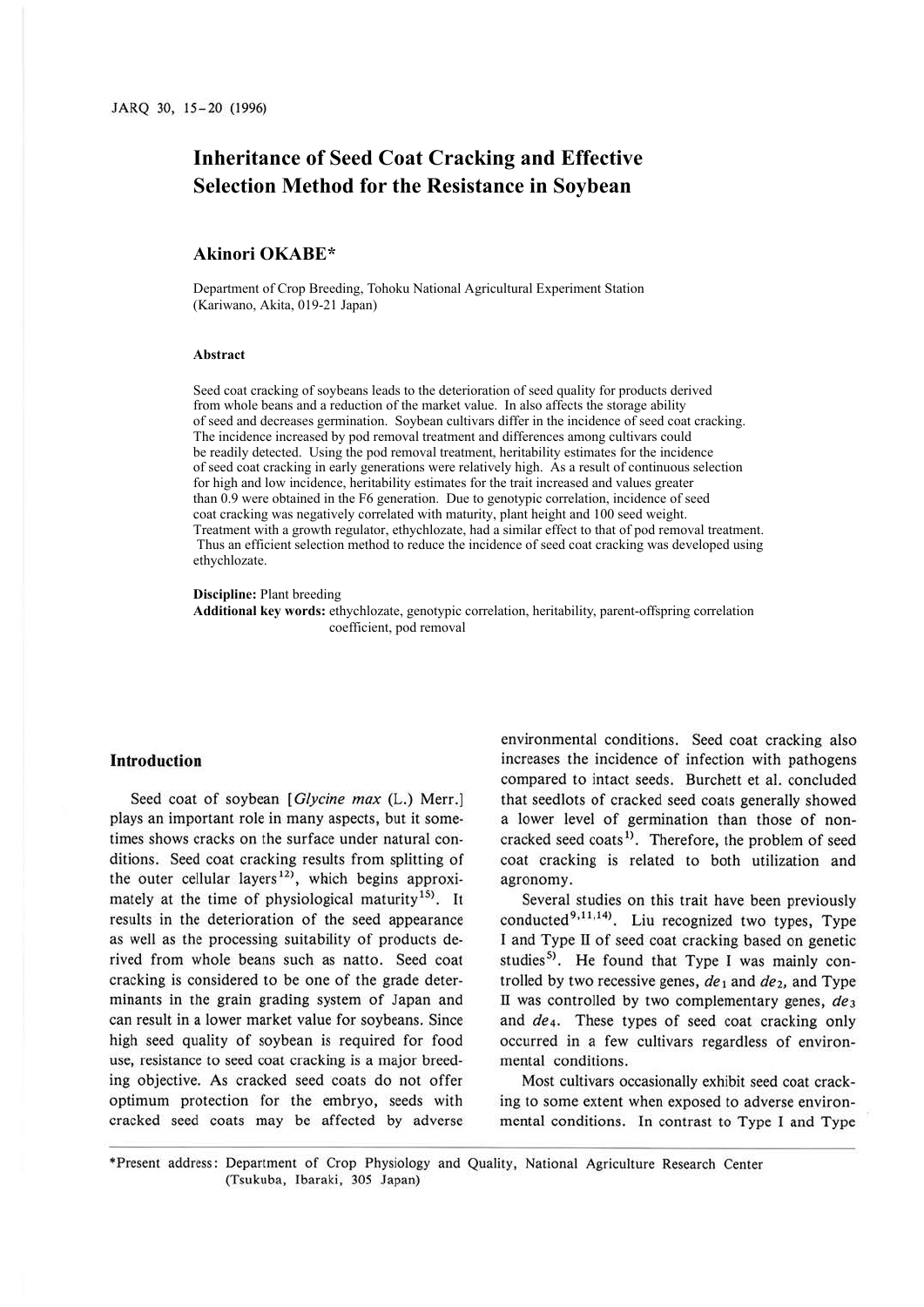# **Inheritance of Seed Coat Cracking and Effective Selection Method for the Resistance in Soybean**

## **Akinori OKABE\***

Department of Crop Breeding, Tohoku National Agricultural Experiment Station (Kariwano, Akita, 019-21 Japan)

#### **Abstract**

Seed coat cracking of soybeans leads to the deterioration of seed quality for products derived from whole beans and a reduction of the market value. In also affects the storage ability of seed and decreases germination. Soybean cultivars differ in the incidence of seed coat cracking. The incidence increased by pod removal treatment and differences among cultivars could be readily detected. Using the pod removal treatment, heritability estimates for the incidence of seed coat cracking in early generations were relatively high. As a result of continuous selection for high and low incidence, heritability estimates for the trait increased and values greater than 0.9 were obtained in the F6 generation. Due to genotypic correlation, incidence of seed coat cracking was negatively correlated with maturity, plant height and 100 seed weight. Treatment with a growth regulator, ethychlozate, had a similar effect to that of pod removal treatment. Thus an efficient selection method to reduce the incidence of seed coat cracking was developed using ethychlozate.

#### **Discipline:** Plant breeding

**Additional key words:** ethychlozate, genotypic correlation, heritability, parent-offspring correlation coefficient, pod removal

### **Introduction**

Seed coat of soybean [ *Glycine max* (L.) Merr.] plays an important role in many aspects, but it sometimes shows cracks on the surface under natural conditions. Seed coat cracking results from splitting of the outer cellular layers<sup>12)</sup>, which begins approximately at the time of physiological maturity<sup>15)</sup>. It results in the deterioration of the seed appearance as well as the processing suitability of products derived from whole beans such as natto. Seed coat cracking is considered to be one of the grade determinants in the grain grading system of Japan and can result in a lower market value for soybeans. Since high seed quality of soybean is required for food use, resistance to seed coat cracking is a major breeding objective. As cracked seed coats do not offer optimum protection for the embryo, seeds with cracked seed coats may be affected by adverse

environmental conditions. Seed coat cracking also increases the incidence of infection with pathogens compared to intact seeds. Burchett et al. concluded that seedlots of cracked seed coats generally showed a lower level of germination than those of noncracked seed coats<sup>1)</sup>. Therefore, the problem of seed coat cracking is related to both utilization and agronomy.

Several studies on this trait have been previously conducted<sup>9,11,14</sup>). Liu recognized two types, Type I and Type II of seed coat cracking based on genetic studies<sup>5)</sup>. He found that Type I was mainly controlled by two recessive genes,  $de_1$  and  $de_2$ , and Type II was controlled by two complementary genes, *de3*  and *de4.* These types of seed coat cracking only occurred in a few cultivars regardless of environmental conditions.

Most cultivars occasionally exhibit seed coat cracking to some extent when exposed to adverse environmental conditions. In contrast to Type I and Type

\*Present address: Department of Crop Physiology and Quality, National Agriculture Research Center (Tsukuba, Ibaraki, 305 Japan)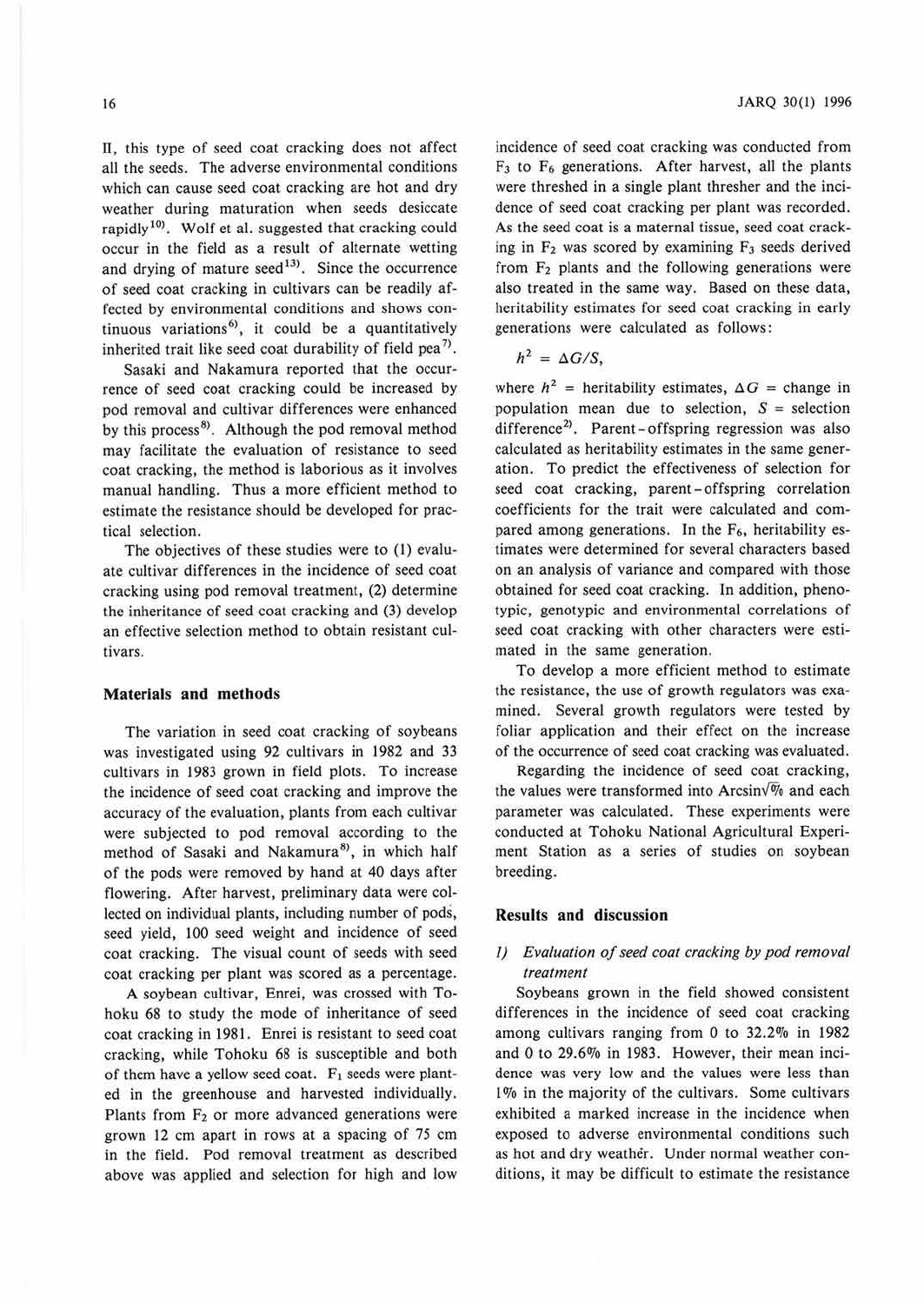ll, this type of seed coat cracking does not affect all the seeds. The adverse environmental conditions which can cause seed coat cracking are hot and dry weather during maturation when seeds desiccate rapidly  $10$ <sup>10</sup>. Wolf et al. suggested that cracking could occur in the field as a result of alternate wetting and drying of mature seed<sup>13</sup>. Since the occurrence of seed coat cracking in cultivars can be readily affected by environmental conditions and shows continuous variations<sup>6</sup>, it could be a quantitatively inherited trait like seed coat durability of field pea<sup>7)</sup>.

Sasaki and Nakamura reported that the occurrence of seed coat cracking could be increased by pod removal and cultivar differences were enhanced by this process<sup>8)</sup>. Although the pod removal method may facilitate the evaluation of resistance to seed coat cracking, the method is laborious as it involves manual handling. Thus a more efficient method to estimate the resistance should be developed for practical selection.

The objectives of these studies were to (I) evaluate cultivar differences in the incidence of seed coat cracking using pod removal treatment, (2) determine the inheritance of seed coat cracking and (3) develop an effective selection method to obtain resistant cultivars.

#### **Materials and methods**

The variation in seed coat cracking of soybeans was investigated using 92 cultivars in 1982 and 33 cultivars in 1983 grown in field plots. To increase the incidence of seed coat cracking and improve the accuracy of the evaluation, plants from each cultivar were subjected to pod removal according to the method of Sasaki and Nakamura<sup>8</sup>, in which half of the pods were removed by hand at 40 days after flowering. After harvest, preliminary data were collected on individual plants, including number of pods, seed yield, 100 seed weight and incidence of seed coat cracking. The visual count of seeds with seed coat cracking per plant was scored as a percentage.

**A** soybean cultivar, Enrei, was crossed with Tohoku 68 to study the mode of inheritance of seed coat cracking in 1981. Enrei is resistant to seed coat cracking, while Tohoku 68 is susceptible and both of them have a yellow seed coat.  $F_1$  seeds were planted in the greenhouse and harvested individually. Plants from  $F_2$  or more advanced generations were grown 12 cm apart in rows at a spacing of 75 cm in the field. Pod removal treatment as described above was applied and selection for high and low

incidence of seed coat cracking was conducted from  $F_3$  to  $F_6$  generations. After harvest, all the plants were threshed in a single plant thresher and the incidence of seed coat cracking per plant was recorded. As the seed coat is a maternal tissue, seed coat cracking in  $F_2$  was scored by examining  $F_3$  seeds derived from  $F_2$  plants and the following generations were also treated in the same way. Based on these data, heritability estimates for seed coat cracking in early generations were calculated as follows:

$$
h^2 = \Delta G/S,
$$

where  $h^2$  = heritability estimates,  $\Delta G$  = change in population mean due to selection,  $S =$  selection difference<sup>2)</sup>. Parent-offspring regression was also calculated as heritability estimates in the same generation. To predict the effectiveness of selection for seed coat cracking, parent-offspring correlation coefficients for the trait were calculated and compared among generations. In the F<sub>6</sub>, heritability estimates were determined for several characters based on an analysis of variance and compared with those obtained for seed coat cracking. In addition, phenotypic, genotypic and environmental correlations of seed coat cracking with other characters were estimated in the same generation.

To develop a more efficient method to estimate the resistance, the use of growth regulators was examined. Several growth regulators were tested by foliar application and their effect on the increase of the occurrence of seed coat cracking was evaluated.

Regarding the incidence of seed coat cracking, the values were transformed into Arcsin $\sqrt{\frac{m}{6}}$  and each parameter was calculated. These experiments were conducted at Tohoku National Agricultural Experiment Station as a series of studies on soybean breeding.

## **Results and discussion**

## *I) Evaluation of seed coat cracking by pod removal treatment*

Soybeans grown in the field showed consistent differences in the incidence of seed coat cracking among cultivars ranging from  $0$  to  $32.2\%$  in 1982 and 0 to 29.6% in 1983. However, their mean incidence was very low and the values were less than 1% in the majority of the cultivars. Some cultivars exhibited a marked increase in the incidence when exposed to adverse environmental conditions such as hot and dry weather. Under normal weather conditions, it may be difficult to estimate the resistance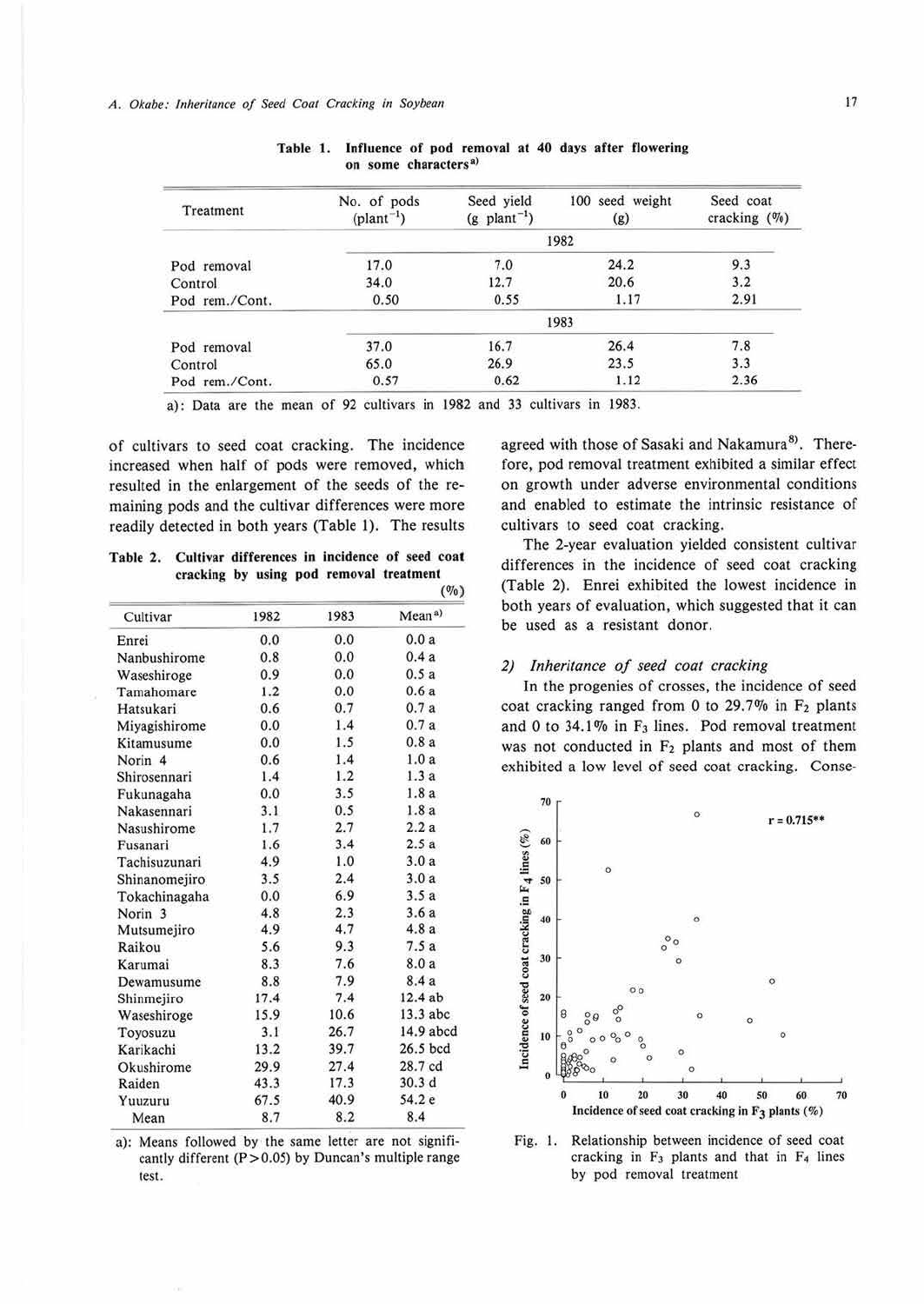| Treatment      | No. of pods<br>$(\text{plant}^{-1})$ | Seed yield<br>$(g$ plant <sup>-1</sup> ) | 100 seed weight<br>(g) | Seed coat<br>cracking (%) |  |  |  |
|----------------|--------------------------------------|------------------------------------------|------------------------|---------------------------|--|--|--|
|                | 1982                                 |                                          |                        |                           |  |  |  |
| Pod removal    | 17.0                                 | 7.0                                      | 24.2                   | 9.3                       |  |  |  |
| Control        | 34.0                                 | 12.7                                     | 20.6                   | 3.2                       |  |  |  |
| Pod rem./Cont. | 0.50                                 | 0.55                                     | 1.17                   | 2.91                      |  |  |  |
|                |                                      |                                          | 1983                   |                           |  |  |  |
| Pod removal    | 37.0                                 | 16.7                                     | 26.4                   | 7.8                       |  |  |  |
| Control        | 65.0                                 | 26.9                                     | 23.5                   | 3.3                       |  |  |  |
| Pod rem./Cont. | 0.57                                 | 0.62                                     | 1.12                   | 2.36                      |  |  |  |

Table 1. Influence of pod removal at 40 days after flowering on some characters<sup>a)</sup>

a): Data are the mean of 92 cultivars in 1982 and 33 cultivars in 1983.

of cultivars to seed coat cracking. The incidence increased when half of pods were removed, which resulted in the enlargement of the seeds of the remaining pods and the cultivar differences were more readily detected in both years (Table 1). The results

**Table 2. Culliver differences in Incidence of seed coat cracking by using pod removal treatment**   $(0)$ 

| Cultivar           | 1982 | 1983 | Mean <sup>a</sup> ) |
|--------------------|------|------|---------------------|
| Enrei              | 0.0  | 0.0  | 0.0a                |
| Nanbushirome       | 0.8  | 0.0  | 0.4a                |
| Waseshiroge        | 0.9  | 0.0  | 0.5a                |
| Tamahomare         | 1.2  | 0.0  | 0.6a                |
| Hatsukari          | 0.6  | 0.7  | 0.7a                |
| Miyagishirome      | 0.0  | 1.4  | 0.7a                |
| Kitamusume         | 0.0  | 1.5  | 0.8a                |
| Norin <sub>4</sub> | 0.6  | 1.4  | 1.0a                |
| Shirosennari       | 1.4  | 1.2  | 1.3a                |
| Fukunagaha         | 0.0  | 3.5  | 1.8a                |
| Nakasennari        | 3.1  | 0.5  | 1.8a                |
| Nasushirome        | 1.7  | 2.7  | 2.2a                |
| Fusanari           | 1.6  | 3.4  | 2.5a                |
| Tachisuzunari      | 4.9  | 1.0  | 3.0a                |
| Shinanomejiro      | 3.5  | 2.4  | 3.0a                |
| Tokachinagaha      | 0.0  | 6.9  | 3.5a                |
| Norin <sub>3</sub> | 4.8  | 2.3  | 3.6a                |
| Mutsumejiro        | 4.9  | 4.7  | 4.8a                |
| Raikou             | 5.6  | 9.3  | 7.5a                |
| Karumai            | 8.3  | 7.6  | 8.0a                |
| Dewamusume         | 8.8  | 7.9  | 8.4 a               |
| Shinmejiro         | 17.4 | 7.4  | 12.4ab              |
| Waseshiroge        | 15.9 | 10.6 | $13.3$ abc          |
| Toyosuzu           | 3.1  | 26.7 | 14.9 abcd           |
| Karikachi          | 13.2 | 39.7 | 26.5 bcd            |
| Okushirome         | 29.9 | 27.4 | 28.7 cd             |
| Raiden             | 43.3 | 17.3 | 30.3d               |
| Yuuzuru            | 67.5 | 40.9 | 54.2 e              |
| Mean               | 8.7  | 8.2  | 8.4                 |

a): Means followed by the same letter are not significantly different ( $P > 0.05$ ) by Duncan's multiple range test.

agreed with those of Sasaki and Nakamura<sup>8)</sup>. Therefore, pod removal treatment exhibited a similar effect on growth under adverse environmental conditions and enabled to estimate the intrinsic resistance of cultivars to seed coat cracking.

The 2-year evaluation yielded consistent cultivar differences in the incidence of seed coat cracking (Table 2). Enrei exhibited the lowest incidence in both years of evaluation, which suggested that it can be used as a resistant donor.

#### *2) Inheritance of seed coat cracking*

In the progenies of crosses, the incidence of seed coat cracking ranged from 0 to  $29.7\%$  in  $F_2$  plants and 0 to 34.1% in F<sub>3</sub> lines. Pod removal treatment was not conducted in  $F_2$  plants and most of them exhibited a low level of seed coat cracking. Conse-



Fig. 1. Relationship between incidence of seed coat cracking in  $F_3$  plants and that in  $F_4$  lines by pod removal treatment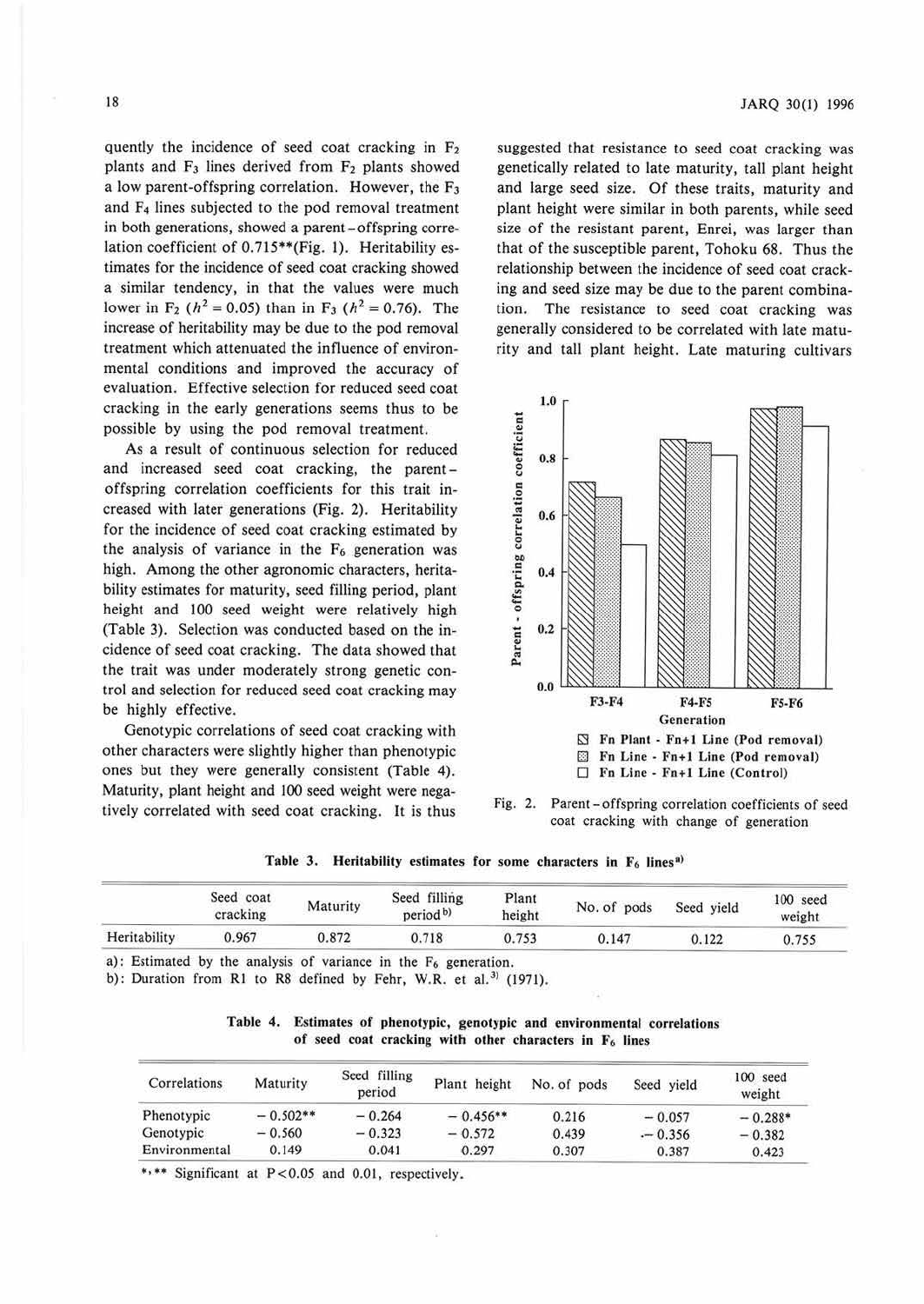quently the incidence of seed coat cracking in  $F<sub>2</sub>$ plants and  $F_3$  lines derived from  $F_2$  plants showed a low parent-offspring correlation. However, the  $F_3$ and F<sub>4</sub> lines subjected to the pod removal treatment in both generations, showed a parent-offspring correlation coefficient of 0.715\*\*(Fig. 1). Heritability estimates for the incidence of seed coat cracking showed a similar tendency, in that the values were much lower in F<sub>2</sub> ( $h^2 = 0.05$ ) than in F<sub>3</sub> ( $h^2 = 0.76$ ). The increase of heritability may be due to the pod removal treatment which attenuated the influence of environmental conditions and improved the accuracy of evaluation. Effective selection for reduced seed coat cracking in the early generations seems thus to be possible by using the pod removal treatment.

As a result of continuous selection for reduced and increased seed coat cracking, the parentoffspring correlation coefficients for this trait increased with later generations (Fig. 2). Heritability for the incidence of seed coat cracking estimated by the analysis of variance in the  $F_6$  generation was high. Among the other agronomic characters, heritability estimates for maturity, seed filling period, plant height and 100 seed weight were relatively high (Table 3). Selection was conducted based on the incidence of seed coat cracking. The data showed that the trait was under moderately strong genetic control and selection for reduced seed coat cracking may be highly effective.

Genotypic correlations of seed coat cracking with other characters were slightly higher than phenotypic ones but they were generally consistent (Table 4). Maturity, plant height and 100 seed weight were negatively correlated with seed coat cracking. It is thus

suggested that resistance to seed coat cracking was genetically related to late maturity, tall plant height and large seed size. Of these traits, maturity and plant height were similar in both parents, while seed size of the resistant parent, Enrei, was larger than that of the susceptible parent, Tohoku 68. Thus the relationship between the incidence of seed coat cracking and seed size may be due to the parent combination. The resistance to seed coat cracking was generally considered to be correlated with late maturity and tall plant height. Late maturing cultivars



Fig. 2. Parent -offspring correlation coefficients of seed coat cracking with change of generation

Table 3. Heritability estimates for some characters in  $F_6$  lines<sup>a)</sup>

|              | Seed coat<br>cracking | Maturity | Seed filling<br>period <sup>b)</sup> | Plant<br>height | No. of pods | Seed yield | 100 seed<br>weight |
|--------------|-----------------------|----------|--------------------------------------|-----------------|-------------|------------|--------------------|
| Heritability | 0.967                 | 0.872    | 0.718                                | 0.753           | 0.147       | 0.122      | 0.755              |

a): Estimated by the analysis of variance in the  $F_6$  generation.

b): Duration from R1 to R8 defined by Fehr, W.R. et al.<sup>31</sup> (1971).

|  | Table 4. Estimates of phenotypic, genotypic and environmental correlations |
|--|----------------------------------------------------------------------------|
|  | of seed coat cracking with other characters in F <sub>6</sub> lines        |

| Correlations  | Maturity   | Seed filling<br>period | Plant height | No. of pods | Seed vield | $100$ seed<br>weight |
|---------------|------------|------------------------|--------------|-------------|------------|----------------------|
| Phenotypic    | $-0.502**$ | $-0.264$               | $-0.456**$   | 0.216       | $-0.057$   | $-0.288*$            |
| Genotypic     | $-0.560$   | $-0.323$               | $-0.572$     | 0.439       | $-0.356$   | $-0.382$             |
| Environmental | 0.149      | 0.041                  | 0.297        | 0.307       | 0.387      | 0.423                |

\*\*\* Significant at P<0.05 and 0.01, respectively.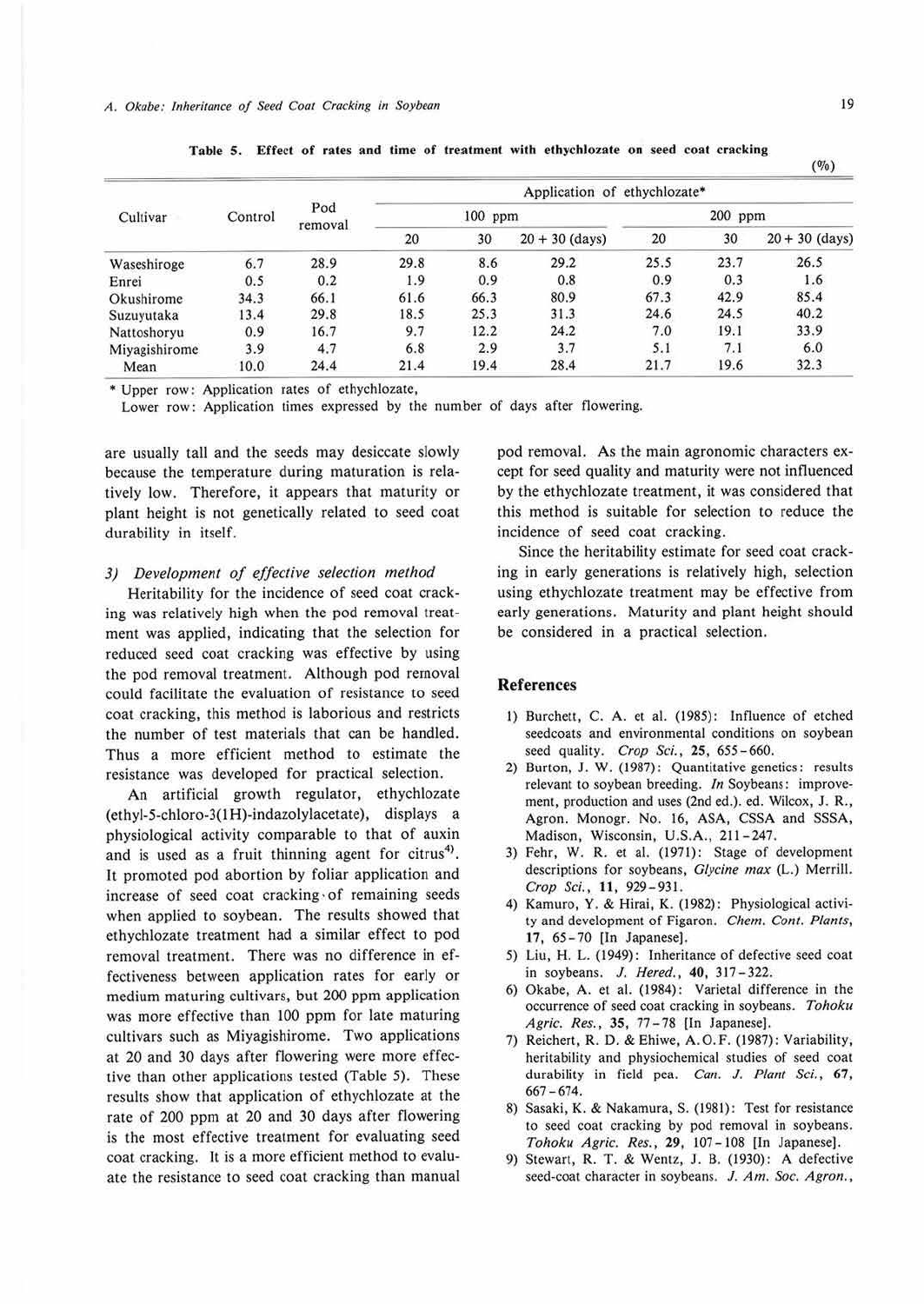| Cultivar      |         | Pod<br>removal | Application of ethychlozate* |      |                  |         |      |                          |  |
|---------------|---------|----------------|------------------------------|------|------------------|---------|------|--------------------------|--|
|               | Control |                | 100 ppm                      |      |                  | 200 ppm |      |                          |  |
|               |         |                | 20                           | 30   | $20 + 30$ (days) | 20      | 30   | $20 + 30$ (days)<br>26.5 |  |
| Waseshiroge   | 6.7     | 28.9           | 29.8                         | 8.6  | 29.2             | 25.5    | 23.7 |                          |  |
| Enrei         | 0.5     | 0.2            | 1.9                          | 0.9  | 0.8              | 0.9     | 0.3  | 1.6                      |  |
| Okushirome    | 34.3    | 66.1           | 61.6                         | 66.3 | 80.9             | 67.3    | 42.9 | 85.4                     |  |
| Suzuvutaka    | 13.4    | 29.8           | 18.5                         | 25.3 | 31.3             | 24.6    | 24.5 | 40.2                     |  |
| Nattoshoryu   | 0.9     | 16.7           | 9.7                          | 12.2 | 24.2             | 7.0     | 19.1 | 33.9                     |  |
| Miyagishirome | 3.9     | 4.7            | 6.8                          | 2.9  | 3.7              | 5.1     | 7.1  | 6.0                      |  |
| Mean          | 10.0    | 24.4           | 21.4                         | 19.4 | 28.4             | 21.7    | 19.6 | 32.3                     |  |

Table 5. Effect of rates and time of treatment with ethychlozate on seed coat cracking

• Upper row: Application rates of ethychlozate,

Lower row: Application times expressed by the number of days after flowering.

are usually tall and the seeds may desiccate slowly because the temperature during maturation is relatively low. Therefore, it appears that maturity or plant height is not genetically related to seed coat durability in itself.

#### *3) Development of effective selection method*

Heritability for the incidence of seed coat cracking was relatively high when the pod removal treatment was applied, indicating that the selection for reduced seed coat cracking was effective by using the pod removal treatment. Although pod removal could facilitate the evaluation of resistance to seed coat cracking, this method is laborious and restricts the number of test materials that can be handled. Thus a more efficient method to estimate the resistance was developed for practical selection.

**An** artificial growth regulator, ethychlozate (ethyl-5-chloro-3(1H)-indazolylacetate), displays a physiological activity comparable to that of auxin and is used as a fruit thinning agent for citrus<sup>4)</sup>. It promoted pod abortion by foliar application and increase of seed coat cracking· of remaining seeds when applied to soybean. The results showed that ethychlozate treatment had a similar effect to pod removal treatment. There was no difference in effectiveness between application rates for early or medium maturing cultivars, but 200 ppm application was more effective than JOO ppm for late maturing cultivars such as Miyagishirome. Two applications at 20 and 30 days after flowering were more effective than other applications tested (Table 5). These results show that application of ethychlozate at the rate of 200 ppm at 20 and 30 days after flowering is the most effective treatment for evaluating seed coat cracking. It is a more efficient method to evaluate the resistance to seed coat cracking than manual

pod removal. As the main agronomic characters except for seed quality and maturity were not influenced by the ethychJozate treatment, it was considered that this method is suitable for selection to reduce the incidence of seed coat cracking.

Since the heritability estimate for seed coat cracking in early generations is relatively high, selection using ethychlozate treatment may be effective from early generations. Maturity and plant height should be considered in a practical selection.

### **References**

- I) Burchett, C. A. et al. (1985): Influence of etched seedcoats and environmental conditions on soybean seed quality. *Crop Sci.,* **25,** 655 - 660.
- 2) Burton, J. W. (1987): Quantitative genetics: results relevant to soybean breeding. In Soybeans: improvement, production and uses (2nd ed.). ed. Wilcox, **J.** R., Agron. Monogr. No. 16, ASA, CSSA and SSSA, Madison, Wisconsin, U.S.A., 211-247.
- 3) Fehr, W. R. et al. (1971): Stage of development descriptions for soybeans, *Glycine max* (L.) Merrill. *Crop Sci.,* **11 ,** 929 - 931.
- 4) Kamuro, Y. & Hirai, K. (1982): Physiological activity and development of Figaron. *Chem. Cont. Plants,*  17, 65- 70 [In Japanese).
- 5) Liu, H. L. (1949): Inheritance of defective seed coat in soybeans. J. *Hered.,* **40,** 317-322.
- 6) Okabe, A. et al. (1984): Varietal difference in the occurrence of seed coat cracking in soybeans. *Tohoku Agric. Res.,* 35, 77-78 [In Japanese).
- 7) Reichert, R. D. & Ehiwe, A.O.F. (1987): Variability, heritability and physiochemical studies of seed coat durability in field pea. *Can. J. Plant Sci.,* **67,**   $667 - 674.$
- **8)** Sasaki, **K .** & Nakamura, S. (1981): Test for resistance to seed coat cracking by pod removal in soybeans. *Tohoku Agric. Res., 29,* 107-108 [In Japanese].
- 9) Stewart, R. T. & Wentz, J. B. (1930): A defective seed-coat character in soybeans. *J. Am. Soc. Agron.,*

 $($ % $)$